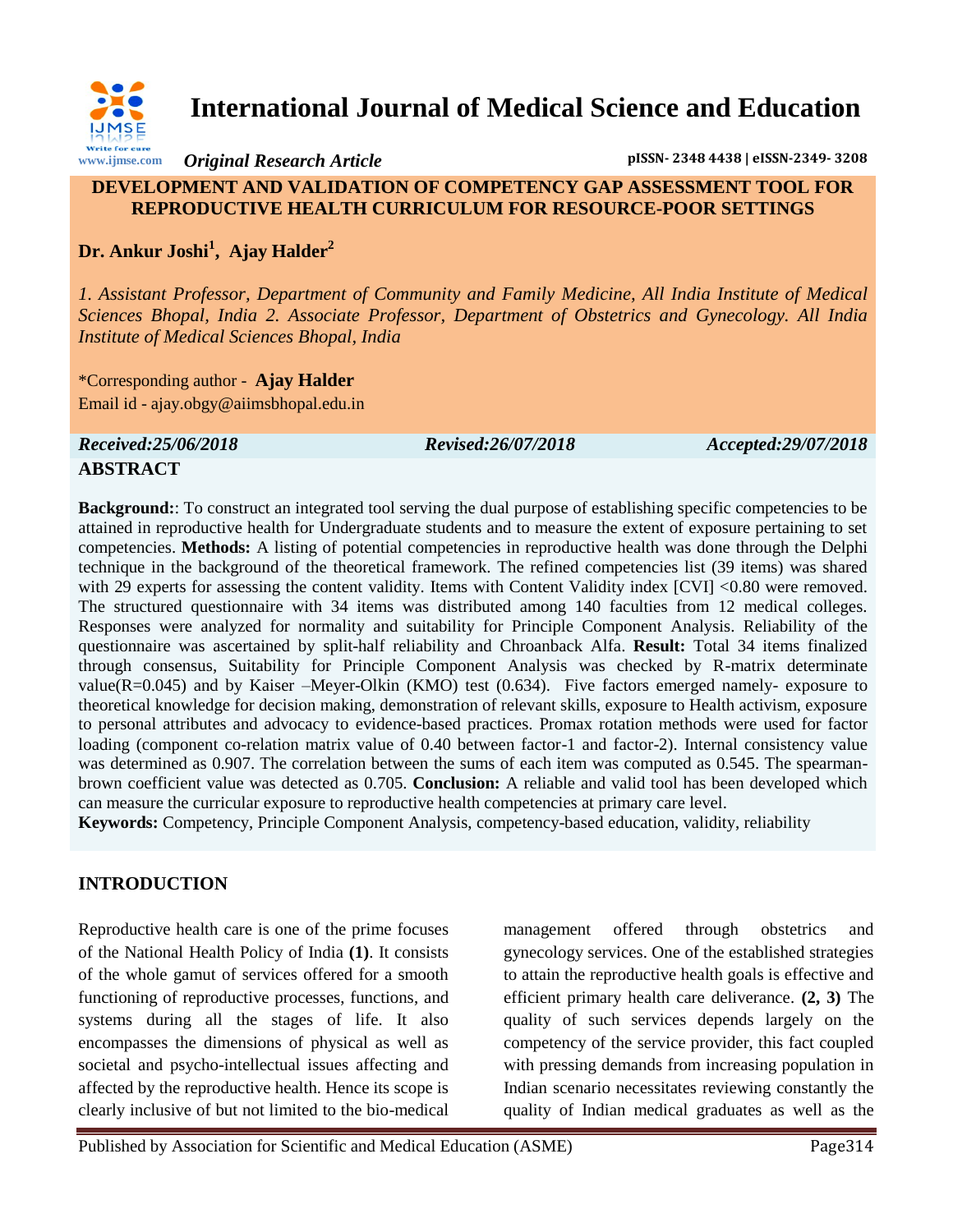

**International Journal of Medical Science and Education**

*Original Research Article* **pISSN- 2348 4438 | eISSN-2349- 3208**

#### **DEVELOPMENT AND VALIDATION OF COMPETENCY GAP ASSESSMENT TOOL FOR REPRODUCTIVE HEALTH CURRICULUM FOR RESOURCE-POOR SETTINGS**

**Dr. Ankur Joshi<sup>1</sup> , Ajay Halder<sup>2</sup>**

*1. Assistant Professor, Department of Community and Family Medicine, All India Institute of Medical Sciences Bhopal, India 2. Associate Professor, Department of Obstetrics and Gynecology. All India Institute of Medical Sciences Bhopal, India* 

\*Corresponding author - **Ajay Halder** Email id - ajay.obgy@aiimsbhopal.edu.in

*Received:25/06/2018 Revised:26/07/2018 Accepted:29/07/2018*

# **ABSTRACT**

**Background:**: To construct an integrated tool serving the dual purpose of establishing specific competencies to be attained in reproductive health for Undergraduate students and to measure the extent of exposure pertaining to set competencies. **Methods:** A listing of potential competencies in reproductive health was done through the Delphi technique in the background of the theoretical framework. The refined competencies list (39 items) was shared with 29 experts for assessing the content validity. Items with Content Validity index [CVI] <0.80 were removed. The structured questionnaire with 34 items was distributed among 140 faculties from 12 medical colleges. Responses were analyzed for normality and suitability for Principle Component Analysis. Reliability of the questionnaire was ascertained by split-half reliability and Chroanback Alfa. **Result:** Total 34 items finalized through consensus, Suitability for Principle Component Analysis was checked by R-matrix determinate value(R=0.045) and by Kaiser –Meyer-Olkin (KMO) test (0.634). Five factors emerged namely- exposure to theoretical knowledge for decision making, demonstration of relevant skills, exposure to Health activism, exposure to personal attributes and advocacy to evidence-based practices. Promax rotation methods were used for factor loading (component co-relation matrix value of 0.40 between factor-1 and factor-2). Internal consistency value was determined as 0.907. The correlation between the sums of each item was computed as 0.545. The spearmanbrown coefficient value was detected as 0.705. **Conclusion:** A reliable and valid tool has been developed which can measure the curricular exposure to reproductive health competencies at primary care level.

**Keywords:** Competency, Principle Component Analysis, competency-based education, validity, reliability

### **INTRODUCTION**

Reproductive health care is one of the prime focuses of the National Health Policy of India **(1)**. It consists of the whole gamut of services offered for a smooth functioning of reproductive processes, functions, and systems during all the stages of life. It also encompasses the dimensions of physical as well as societal and psycho-intellectual issues affecting and affected by the reproductive health. Hence its scope is clearly inclusive of but not limited to the bio-medical

management offered through obstetrics and gynecology services. One of the established strategies to attain the reproductive health goals is effective and efficient primary health care deliverance. **(2, 3)** The quality of such services depends largely on the competency of the service provider, this fact coupled with pressing demands from increasing population in Indian scenario necessitates reviewing constantly the quality of Indian medical graduates as well as the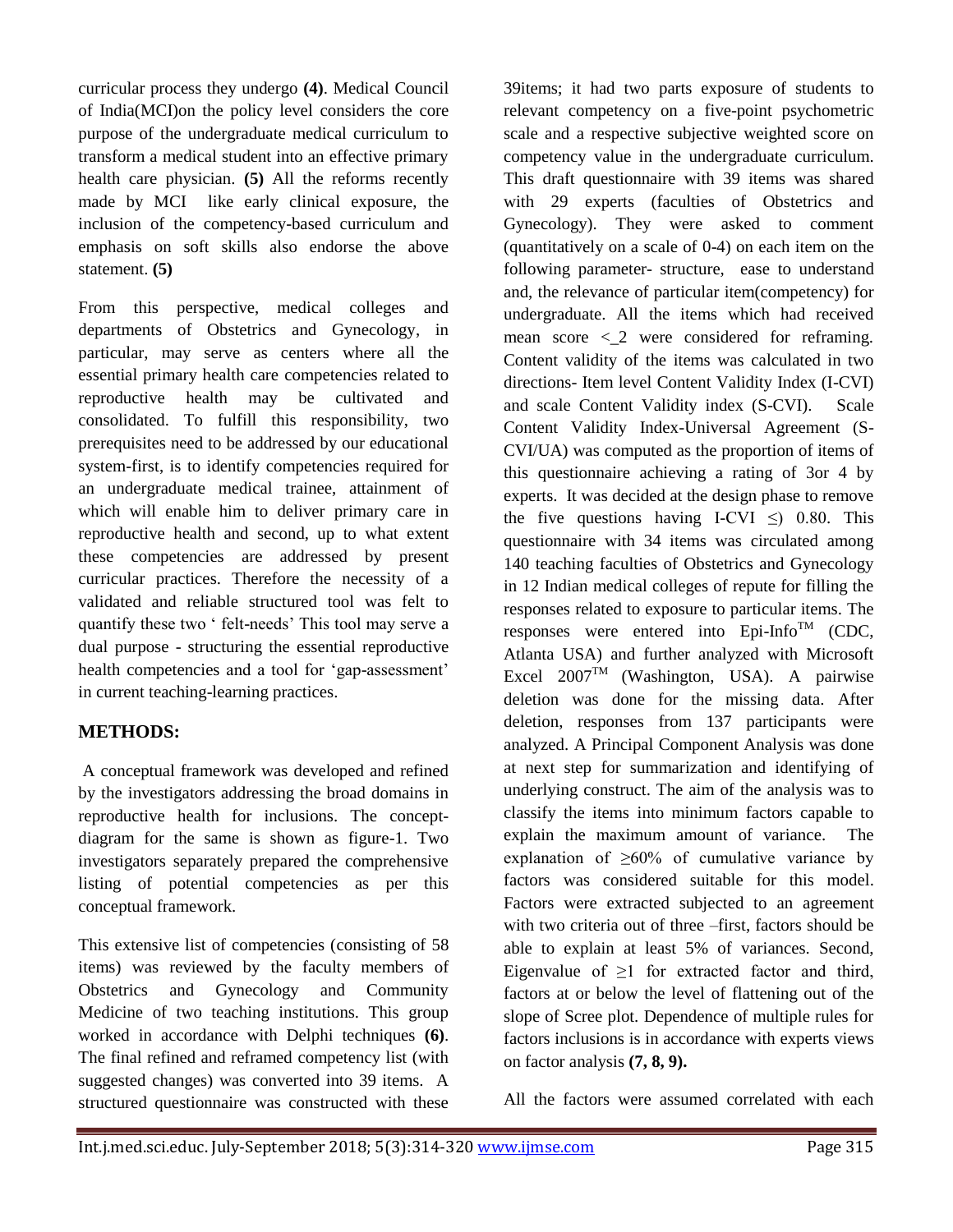curricular process they undergo **(4)**. Medical Council of India(MCI)on the policy level considers the core purpose of the undergraduate medical curriculum to transform a medical student into an effective primary health care physician. **(5)** All the reforms recently made by MCI like early clinical exposure, the inclusion of the competency-based curriculum and emphasis on soft skills also endorse the above statement. **(5)**

From this perspective, medical colleges and departments of Obstetrics and Gynecology, in particular, may serve as centers where all the essential primary health care competencies related to reproductive health may be cultivated and consolidated. To fulfill this responsibility, two prerequisites need to be addressed by our educational system-first, is to identify competencies required for an undergraduate medical trainee, attainment of which will enable him to deliver primary care in reproductive health and second, up to what extent these competencies are addressed by present curricular practices. Therefore the necessity of a validated and reliable structured tool was felt to quantify these two " felt-needs" This tool may serve a dual purpose - structuring the essential reproductive health competencies and a tool for 'gap-assessment' in current teaching-learning practices.

# **METHODS:**

A conceptual framework was developed and refined by the investigators addressing the broad domains in reproductive health for inclusions. The conceptdiagram for the same is shown as figure-1. Two investigators separately prepared the comprehensive listing of potential competencies as per this conceptual framework.

This extensive list of competencies (consisting of 58 items) was reviewed by the faculty members of Obstetrics and Gynecology and Community Medicine of two teaching institutions. This group worked in accordance with Delphi techniques **(6)**. The final refined and reframed competency list (with suggested changes) was converted into 39 items. A structured questionnaire was constructed with these

39items; it had two parts exposure of students to relevant competency on a five-point psychometric scale and a respective subjective weighted score on competency value in the undergraduate curriculum. This draft questionnaire with 39 items was shared with 29 experts (faculties of Obstetrics and Gynecology). They were asked to comment (quantitatively on a scale of 0-4) on each item on the following parameter- structure, ease to understand and, the relevance of particular item(competency) for undergraduate. All the items which had received mean score  $\langle 2 \rangle$  were considered for reframing. Content validity of the items was calculated in two directions- Item level Content Validity Index (I-CVI) and scale Content Validity index (S-CVI). Scale Content Validity Index-Universal Agreement (S-CVI/UA) was computed as the proportion of items of this questionnaire achieving a rating of 3or 4 by experts. It was decided at the design phase to remove the five questions having I-CVI  $\leq$ ) 0.80. This questionnaire with 34 items was circulated among 140 teaching faculties of Obstetrics and Gynecology in 12 Indian medical colleges of repute for filling the responses related to exposure to particular items. The responses were entered into  $Epi$ -Info<sup>TM</sup> (CDC, Atlanta USA) and further analyzed with Microsoft Excel  $2007^{TM}$  (Washington, USA). A pairwise deletion was done for the missing data. After deletion, responses from 137 participants were analyzed. A Principal Component Analysis was done at next step for summarization and identifying of underlying construct. The aim of the analysis was to classify the items into minimum factors capable to explain the maximum amount of variance. The explanation of ≥60% of cumulative variance by factors was considered suitable for this model. Factors were extracted subjected to an agreement with two criteria out of three –first, factors should be able to explain at least 5% of variances. Second, Eigenvalue of  $\geq 1$  for extracted factor and third, factors at or below the level of flattening out of the slope of Scree plot. Dependence of multiple rules for factors inclusions is in accordance with experts views on factor analysis **(7, 8, 9).**

All the factors were assumed correlated with each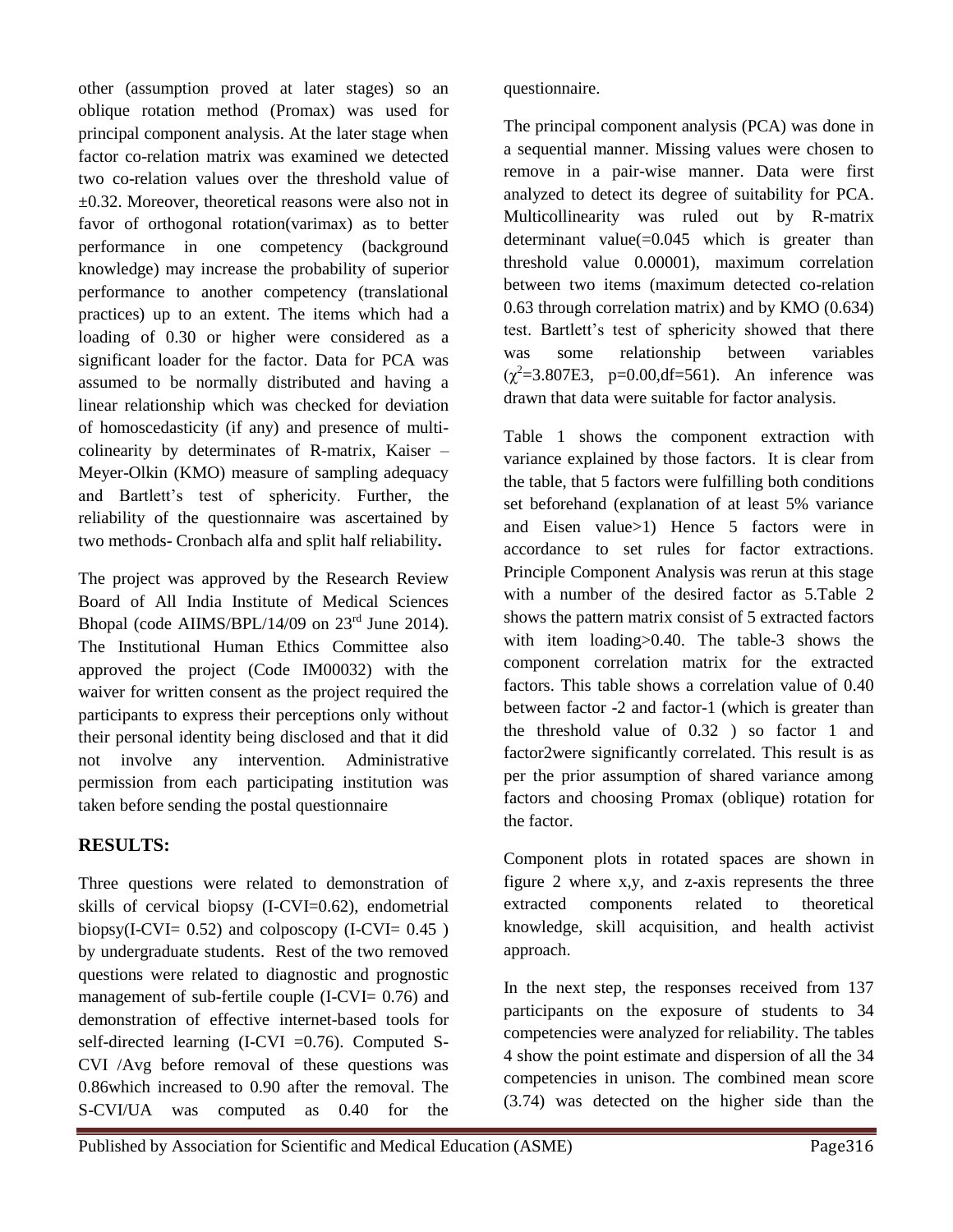other (assumption proved at later stages) so an oblique rotation method (Promax) was used for principal component analysis. At the later stage when factor co-relation matrix was examined we detected two co-relation values over the threshold value of  $\pm 0.32$ . Moreover, theoretical reasons were also not in favor of orthogonal rotation(varimax) as to better performance in one competency (background knowledge) may increase the probability of superior performance to another competency (translational practices) up to an extent. The items which had a loading of 0.30 or higher were considered as a significant loader for the factor. Data for PCA was assumed to be normally distributed and having a linear relationship which was checked for deviation of homoscedasticity (if any) and presence of multicolinearity by determinates of R-matrix, Kaiser – Meyer-Olkin (KMO) measure of sampling adequacy and Bartlett"s test of sphericity. Further, the reliability of the questionnaire was ascertained by two methods- Cronbach alfa and split half reliability**.**

The project was approved by the Research Review Board of All India Institute of Medical Sciences Bhopal (code AIIMS/BPL/14/09 on  $23^{\text{rd}}$  June 2014). The Institutional Human Ethics Committee also approved the project (Code IM00032) with the waiver for written consent as the project required the participants to express their perceptions only without their personal identity being disclosed and that it did not involve any intervention. Administrative permission from each participating institution was taken before sending the postal questionnaire

### **RESULTS:**

Three questions were related to demonstration of skills of cervical biopsy (I-CVI=0.62), endometrial biopsy(I-CVI=  $0.52$ ) and colposcopy (I-CVI=  $0.45$ ) by undergraduate students. Rest of the two removed questions were related to diagnostic and prognostic management of sub-fertile couple (I-CVI= 0.76) and demonstration of effective internet-based tools for self-directed learning  $(I-CVI = 0.76)$ . Computed S-CVI /Avg before removal of these questions was 0.86which increased to 0.90 after the removal. The S-CVI/UA was computed as 0.40 for the

questionnaire.

The principal component analysis (PCA) was done in a sequential manner. Missing values were chosen to remove in a pair-wise manner. Data were first analyzed to detect its degree of suitability for PCA. Multicollinearity was ruled out by R-matrix determinant value $(=0.045$  which is greater than threshold value 0.00001), maximum correlation between two items (maximum detected co-relation 0.63 through correlation matrix) and by KMO (0.634) test. Bartlett"s test of sphericity showed that there was some relationship between variables  $(\chi^2 = 3.807E3, p=0.00, df = 561)$ . An inference was drawn that data were suitable for factor analysis.

Table 1 shows the component extraction with variance explained by those factors. It is clear from the table, that 5 factors were fulfilling both conditions set beforehand (explanation of at least 5% variance and Eisen value>1) Hence 5 factors were in accordance to set rules for factor extractions. Principle Component Analysis was rerun at this stage with a number of the desired factor as 5.Table 2 shows the pattern matrix consist of 5 extracted factors with item loading > 0.40. The table-3 shows the component correlation matrix for the extracted factors. This table shows a correlation value of 0.40 between factor -2 and factor-1 (which is greater than the threshold value of 0.32 ) so factor 1 and factor2were significantly correlated. This result is as per the prior assumption of shared variance among factors and choosing Promax (oblique) rotation for the factor.

Component plots in rotated spaces are shown in figure 2 where x,y, and z-axis represents the three extracted components related to theoretical knowledge, skill acquisition, and health activist approach.

In the next step, the responses received from 137 participants on the exposure of students to 34 competencies were analyzed for reliability. The tables 4 show the point estimate and dispersion of all the 34 competencies in unison. The combined mean score (3.74) was detected on the higher side than the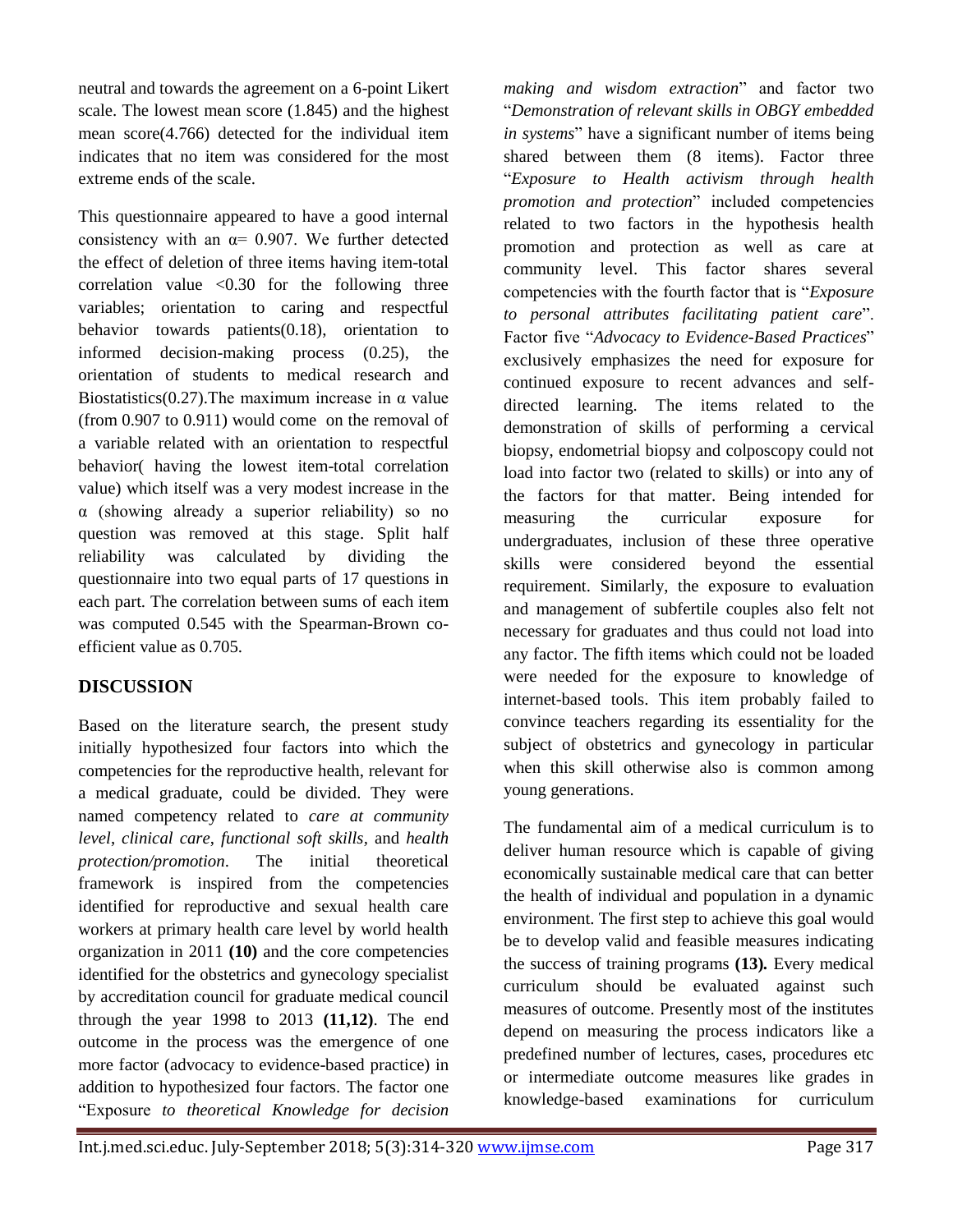neutral and towards the agreement on a 6-point Likert scale. The lowest mean score (1.845) and the highest mean score(4.766) detected for the individual item indicates that no item was considered for the most extreme ends of the scale.

This questionnaire appeared to have a good internal consistency with an  $\alpha$ = 0.907. We further detected the effect of deletion of three items having item-total correlation value  $\langle 0.30 \rangle$  for the following three variables; orientation to caring and respectful behavior towards patients(0.18), orientation to informed decision-making process (0.25), the orientation of students to medical research and Biostatistics(0.27). The maximum increase in  $\alpha$  value (from 0.907 to 0.911) would come on the removal of a variable related with an orientation to respectful behavior( having the lowest item-total correlation value) which itself was a very modest increase in the α (showing already a superior reliability) so no question was removed at this stage. Split half reliability was calculated by dividing the questionnaire into two equal parts of 17 questions in each part. The correlation between sums of each item was computed 0.545 with the Spearman-Brown coefficient value as 0.705.

# **DISCUSSION**

Based on the literature search, the present study initially hypothesized four factors into which the competencies for the reproductive health, relevant for a medical graduate, could be divided. They were named competency related to *care at community level*, *clinical care*, *functional soft skills,* and *health protection/promotion*. The initial theoretical framework is inspired from the competencies identified for reproductive and sexual health care workers at primary health care level by world health organization in 2011 **(10)** and the core competencies identified for the obstetrics and gynecology specialist by accreditation council for graduate medical council through the year 1998 to 2013 **(11,12)**. The end outcome in the process was the emergence of one more factor (advocacy to evidence-based practice) in addition to hypothesized four factors. The factor one "Exposure *to theoretical Knowledge for decision* 

*making and wisdom extraction*" and factor two "*Demonstration of relevant skills in OBGY embedded in systems*" have a significant number of items being shared between them (8 items). Factor three "*Exposure to Health activism through health promotion and protection*" included competencies related to two factors in the hypothesis health promotion and protection as well as care at community level. This factor shares several competencies with the fourth factor that is "*Exposure to personal attributes facilitating patient care*". Factor five "*Advocacy to Evidence-Based Practices*" exclusively emphasizes the need for exposure for continued exposure to recent advances and selfdirected learning. The items related to the demonstration of skills of performing a cervical biopsy, endometrial biopsy and colposcopy could not load into factor two (related to skills) or into any of the factors for that matter. Being intended for measuring the curricular exposure for undergraduates, inclusion of these three operative skills were considered beyond the essential requirement. Similarly, the exposure to evaluation and management of subfertile couples also felt not necessary for graduates and thus could not load into any factor. The fifth items which could not be loaded were needed for the exposure to knowledge of internet-based tools. This item probably failed to convince teachers regarding its essentiality for the subject of obstetrics and gynecology in particular when this skill otherwise also is common among young generations.

The fundamental aim of a medical curriculum is to deliver human resource which is capable of giving economically sustainable medical care that can better the health of individual and population in a dynamic environment. The first step to achieve this goal would be to develop valid and feasible measures indicating the success of training programs **(13)***.* Every medical curriculum should be evaluated against such measures of outcome. Presently most of the institutes depend on measuring the process indicators like a predefined number of lectures, cases, procedures etc or intermediate outcome measures like grades in knowledge-based examinations for curriculum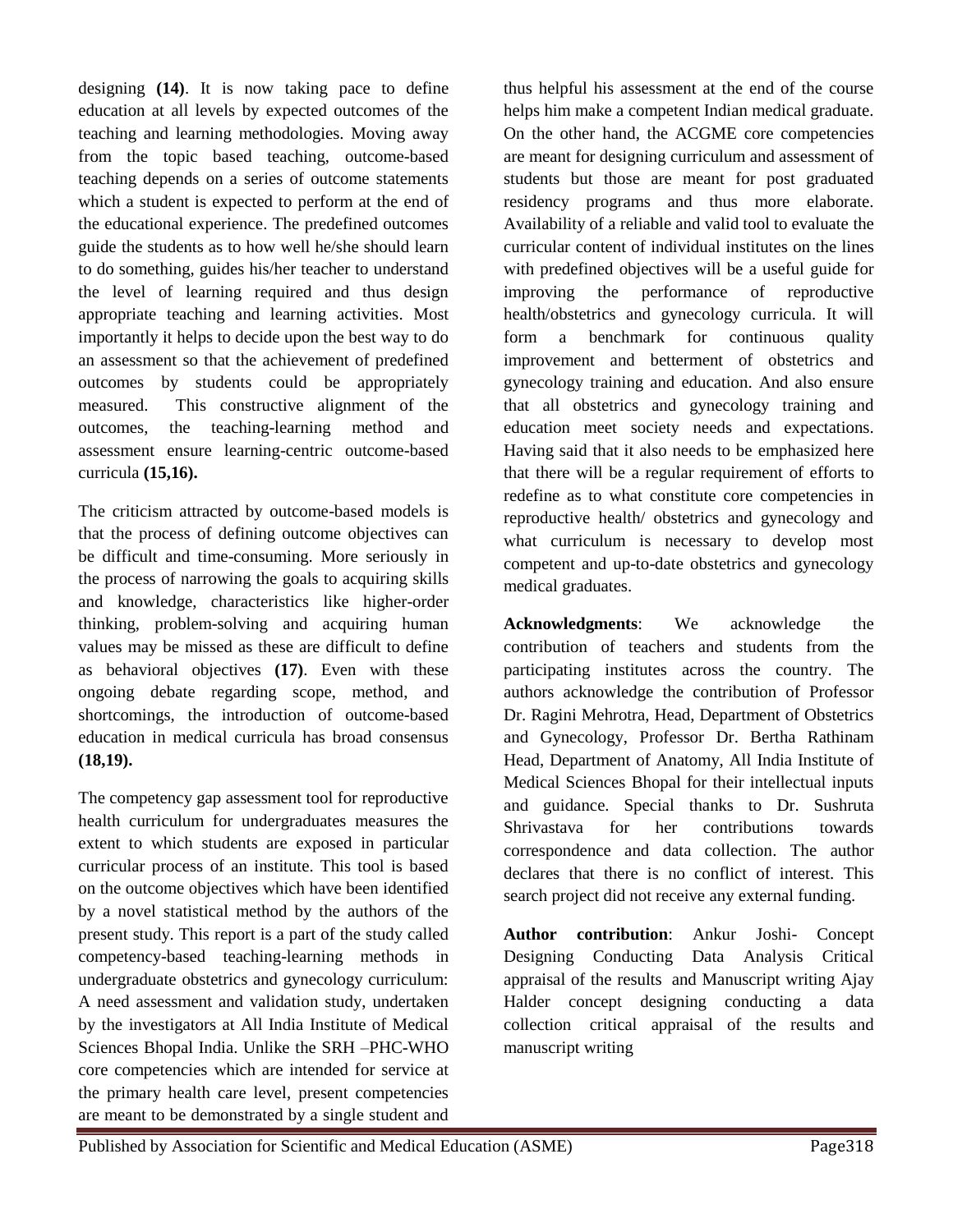designing **(14)**. It is now taking pace to define education at all levels by expected outcomes of the teaching and learning methodologies. Moving away from the topic based teaching, outcome-based teaching depends on a series of outcome statements which a student is expected to perform at the end of the educational experience. The predefined outcomes guide the students as to how well he/she should learn to do something, guides his/her teacher to understand the level of learning required and thus design appropriate teaching and learning activities. Most importantly it helps to decide upon the best way to do an assessment so that the achievement of predefined outcomes by students could be appropriately measured. This constructive alignment of the outcomes, the teaching-learning method and assessment ensure learning-centric outcome-based curricula **(15,16).**

The criticism attracted by outcome-based models is that the process of defining outcome objectives can be difficult and time-consuming. More seriously in the process of narrowing the goals to acquiring skills and knowledge, characteristics like higher-order thinking, problem-solving and acquiring human values may be missed as these are difficult to define as behavioral objectives **(17)**. Even with these ongoing debate regarding scope, method, and shortcomings, the introduction of outcome-based education in medical curricula has broad consensus **(18,19).**

The competency gap assessment tool for reproductive health curriculum for undergraduates measures the extent to which students are exposed in particular curricular process of an institute. This tool is based on the outcome objectives which have been identified by a novel statistical method by the authors of the present study. This report is a part of the study called competency-based teaching-learning methods in undergraduate obstetrics and gynecology curriculum: A need assessment and validation study, undertaken by the investigators at All India Institute of Medical Sciences Bhopal India. Unlike the SRH –PHC-WHO core competencies which are intended for service at the primary health care level, present competencies are meant to be demonstrated by a single student and

thus helpful his assessment at the end of the course helps him make a competent Indian medical graduate. On the other hand, the ACGME core competencies are meant for designing curriculum and assessment of students but those are meant for post graduated residency programs and thus more elaborate. Availability of a reliable and valid tool to evaluate the curricular content of individual institutes on the lines with predefined objectives will be a useful guide for improving the performance of reproductive health/obstetrics and gynecology curricula. It will form a benchmark for continuous quality improvement and betterment of obstetrics and gynecology training and education. And also ensure that all obstetrics and gynecology training and education meet society needs and expectations. Having said that it also needs to be emphasized here that there will be a regular requirement of efforts to redefine as to what constitute core competencies in reproductive health/ obstetrics and gynecology and what curriculum is necessary to develop most competent and up-to-date obstetrics and gynecology medical graduates.

**Acknowledgments**: We acknowledge the contribution of teachers and students from the participating institutes across the country. The authors acknowledge the contribution of Professor Dr. Ragini Mehrotra, Head, Department of Obstetrics and Gynecology, Professor Dr. Bertha Rathinam Head, Department of Anatomy, All India Institute of Medical Sciences Bhopal for their intellectual inputs and guidance. Special thanks to Dr. Sushruta Shrivastava for her contributions towards correspondence and data collection. The author declares that there is no conflict of interest. This search project did not receive any external funding.

**Author contribution**: Ankur Joshi- Concept Designing Conducting Data Analysis Critical appraisal of the results and Manuscript writing Ajay Halder concept designing conducting a data collection critical appraisal of the results and manuscript writing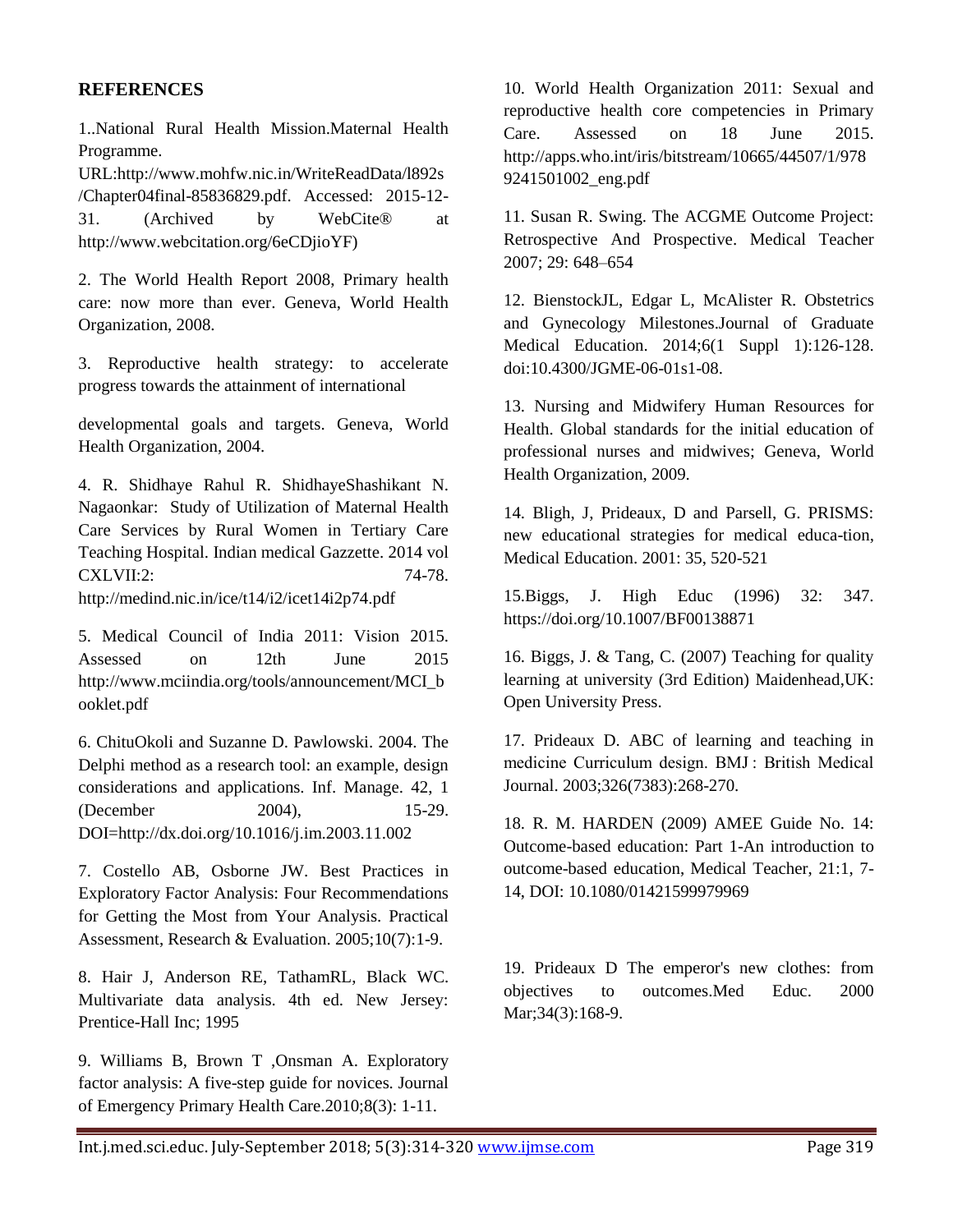#### **REFERENCES**

1..National Rural Health Mission.Maternal Health Programme.

URL:http://www.mohfw.nic.in/WriteReadData/l892s /Chapter04final-85836829.pdf. Accessed: 2015-12- 31. (Archived by WebCite® at http://www.webcitation.org/6eCDjioYF)

2. The World Health Report 2008, Primary health care: now more than ever. Geneva, World Health Organization, 2008.

3. Reproductive health strategy: to accelerate progress towards the attainment of international

developmental goals and targets. Geneva, World Health Organization, 2004.

4. R. Shidhaye Rahul R. ShidhayeShashikant N. Nagaonkar: Study of Utilization of Maternal Health Care Services by Rural Women in Tertiary Care Teaching Hospital. Indian medical Gazzette. 2014 vol CXLVII:2: 74-78. http://medind.nic.in/ice/t14/i2/icet14i2p74.pdf

5. Medical Council of India 2011: Vision 2015. Assessed on 12th June 2015 http://www.mciindia.org/tools/announcement/MCI\_b ooklet.pdf

6. ChituOkoli and Suzanne D. Pawlowski. 2004. The Delphi method as a research tool: an example, design considerations and applications. Inf. Manage. 42, 1 (December 2004), 15-29. DOI=http://dx.doi.org/10.1016/j.im.2003.11.002

7. Costello AB, Osborne JW. Best Practices in Exploratory Factor Analysis: Four Recommendations for Getting the Most from Your Analysis. Practical Assessment, Research & Evaluation. 2005;10(7):1-9.

8. Hair J, Anderson RE, TathamRL, Black WC. Multivariate data analysis. 4th ed. New Jersey: Prentice-Hall Inc; 1995

9. Williams B, Brown T ,Onsman A. Exploratory factor analysis: A five-step guide for novices. Journal of Emergency Primary Health Care.2010;8(3): 1-11.

10. World Health Organization 2011: Sexual and reproductive health core competencies in Primary Care. Assessed on 18 June 2015. http://apps.who.int/iris/bitstream/10665/44507/1/978 9241501002\_eng.pdf

11. Susan R. Swing. The ACGME Outcome Project: Retrospective And Prospective. Medical Teacher 2007; 29: 648–654

12. BienstockJL, Edgar L, McAlister R. Obstetrics and Gynecology Milestones.Journal of Graduate Medical Education. 2014;6(1 Suppl 1):126-128. doi:10.4300/JGME-06-01s1-08.

13. Nursing and Midwifery Human Resources for Health. Global standards for the initial education of professional nurses and midwives; Geneva, World Health Organization, 2009.

14. Bligh, J, Prideaux, D and Parsell, G. PRISMS: new educational strategies for medical educa-tion, Medical Education. 2001: 35, 520-521

15.Biggs, J. High Educ (1996) 32: 347. https://doi.org/10.1007/BF00138871

16. Biggs, J. & Tang, C. (2007) Teaching for quality learning at university (3rd Edition) Maidenhead,UK: Open University Press.

17. Prideaux D. ABC of learning and teaching in medicine Curriculum design. BMJ : British Medical Journal. 2003;326(7383):268-270.

18. R. M. HARDEN (2009) AMEE Guide No. 14: Outcome-based education: Part 1-An introduction to outcome-based education, Medical Teacher, 21:1, 7- 14, DOI: 10.1080/01421599979969

19. Prideaux D The emperor's new clothes: from objectives to outcomes.Med Educ. 2000 Mar; 34(3): 168-9.